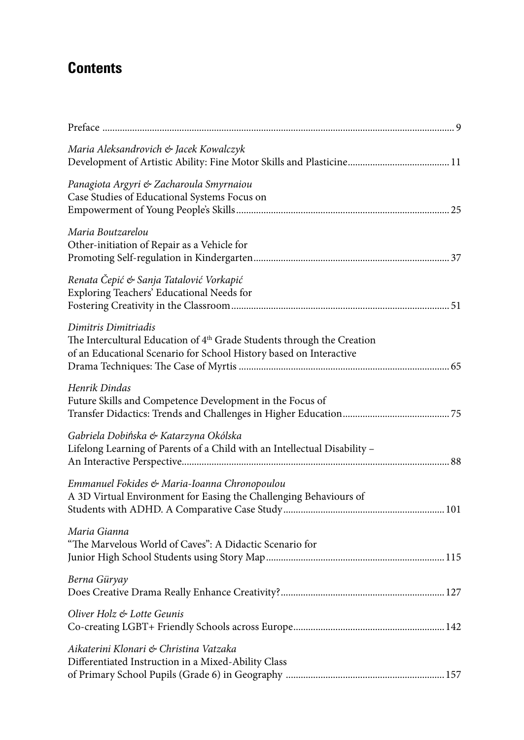## **Contents**

| Preface                                                                                                                                                                          |
|----------------------------------------------------------------------------------------------------------------------------------------------------------------------------------|
| Maria Aleksandrovich & Jacek Kowalczyk                                                                                                                                           |
| Panagiota Argyri & Zacharoula Smyrnaiou<br>Case Studies of Educational Systems Focus on                                                                                          |
| Maria Boutzarelou<br>Other-initiation of Repair as a Vehicle for                                                                                                                 |
| Renata Čepić & Sanja Tatalović Vorkapić<br>Exploring Teachers' Educational Needs for                                                                                             |
| Dimitris Dimitriadis<br>The Intercultural Education of 4 <sup>th</sup> Grade Students through the Creation<br>of an Educational Scenario for School History based on Interactive |
| Henrik Dindas<br>Future Skills and Competence Development in the Focus of                                                                                                        |
| Gabriela Dobińska & Katarzyna Okólska<br>Lifelong Learning of Parents of a Child with an Intellectual Disability -                                                               |
| Emmanuel Fokides & Maria-Ioanna Chronopoulou<br>A 3D Virtual Environment for Easing the Challenging Behaviours of                                                                |
| Maria Gianna<br>"The Marvelous World of Caves": A Didactic Scenario for                                                                                                          |
| Berna Güryay                                                                                                                                                                     |
| Oliver Holz & Lotte Geunis                                                                                                                                                       |
| Aikaterini Klonari & Christina Vatzaka<br>Differentiated Instruction in a Mixed-Ability Class                                                                                    |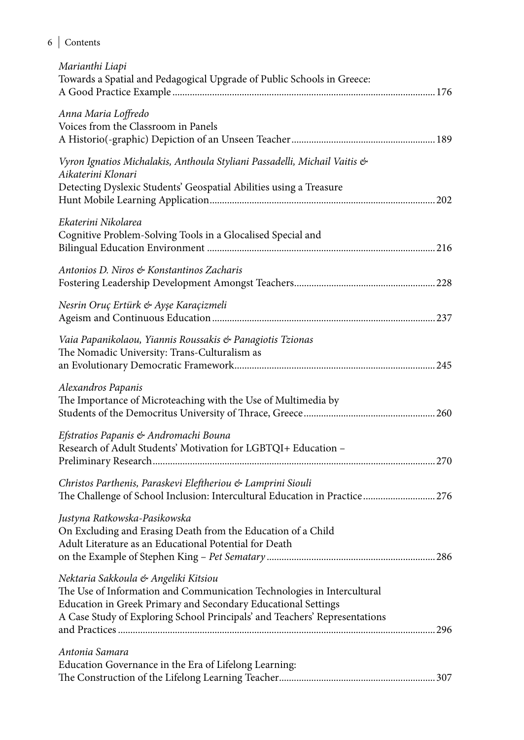## 6 Contents

| Marianthi Liapi<br>Towards a Spatial and Pedagogical Upgrade of Public Schools in Greece:                                                                                                                                                                     |
|---------------------------------------------------------------------------------------------------------------------------------------------------------------------------------------------------------------------------------------------------------------|
| Anna Maria Loffredo<br>Voices from the Classroom in Panels                                                                                                                                                                                                    |
| Vyron Ignatios Michalakis, Anthoula Styliani Passadelli, Michail Vaitis &<br>Aikaterini Klonari<br>Detecting Dyslexic Students' Geospatial Abilities using a Treasure                                                                                         |
| Ekaterini Nikolarea<br>Cognitive Problem-Solving Tools in a Glocalised Special and                                                                                                                                                                            |
| Antonios D. Niros & Konstantinos Zacharis                                                                                                                                                                                                                     |
| Nesrin Oruç Ertürk & Ayşe Karaçizmeli                                                                                                                                                                                                                         |
| Vaia Papanikolaou, Yiannis Roussakis & Panagiotis Tzionas<br>The Nomadic University: Trans-Culturalism as                                                                                                                                                     |
| Alexandros Papanis<br>The Importance of Microteaching with the Use of Multimedia by                                                                                                                                                                           |
| Efstratios Papanis & Andromachi Bouna<br>Research of Adult Students' Motivation for LGBTQI+ Education -                                                                                                                                                       |
| Christos Parthenis, Paraskevi Eleftheriou & Lamprini Siouli<br>The Challenge of School Inclusion: Intercultural Education in Practice  276                                                                                                                    |
| Justyna Ratkowska-Pasikowska<br>On Excluding and Erasing Death from the Education of a Child<br>Adult Literature as an Educational Potential for Death                                                                                                        |
| Nektaria Sakkoula & Angeliki Kitsiou<br>The Use of Information and Communication Technologies in Intercultural<br>Education in Greek Primary and Secondary Educational Settings<br>A Case Study of Exploring School Principals' and Teachers' Representations |
| Antonia Samara                                                                                                                                                                                                                                                |
| Education Governance in the Era of Lifelong Learning:                                                                                                                                                                                                         |